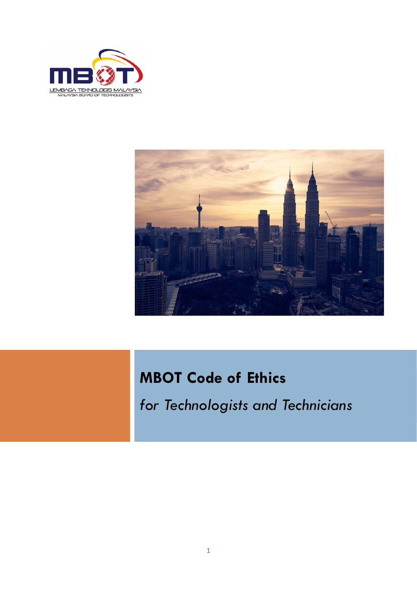



# **MBOT Code of Ethics**

*for Technologists and Technicians*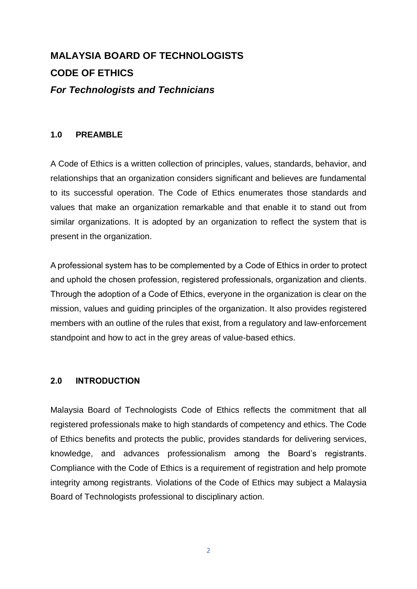# **MALAYSIA BOARD OF TECHNOLOGISTS CODE OF ETHICS** *For Technologists and Technicians*

#### **1.0 PREAMBLE**

A Code of Ethics is a written collection of principles, values, standards, behavior, and relationships that an organization considers significant and believes are fundamental to its successful operation. The Code of Ethics enumerates those standards and values that make an organization remarkable and that enable it to stand out from similar organizations. It is adopted by an organization to reflect the system that is present in the organization.

A professional system has to be complemented by a Code of Ethics in order to protect and uphold the chosen profession, registered professionals, organization and clients. Through the adoption of a Code of Ethics, everyone in the organization is clear on the mission, values and guiding principles of the organization. It also provides registered members with an outline of the rules that exist, from a regulatory and law-enforcement standpoint and how to act in the grey areas of value-based ethics.

#### **2.0 INTRODUCTION**

Malaysia Board of Technologists Code of Ethics reflects the commitment that all registered professionals make to high standards of competency and ethics. The Code of Ethics benefits and protects the public, provides standards for delivering services, knowledge, and advances professionalism among the Board's registrants. Compliance with the Code of Ethics is a requirement of registration and help promote integrity among registrants. Violations of the Code of Ethics may subject a Malaysia Board of Technologists professional to disciplinary action.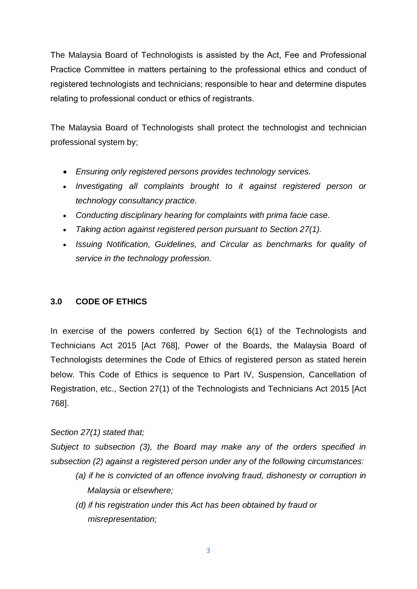The Malaysia Board of Technologists is assisted by the Act, Fee and Professional Practice Committee in matters pertaining to the professional ethics and conduct of registered technologists and technicians; responsible to hear and determine disputes relating to professional conduct or ethics of registrants.

The Malaysia Board of Technologists shall protect the technologist and technician professional system by;

- *Ensuring only registered persons provides technology services.*
- *Investigating all complaints brought to it against registered person or technology consultancy practice.*
- *Conducting disciplinary hearing for complaints with prima facie case.*
- *Taking action against registered person pursuant to Section 27(1).*
- *Issuing Notification, Guidelines, and Circular as benchmarks for quality of service in the technology profession.*

## **3.0 CODE OF ETHICS**

In exercise of the powers conferred by Section 6(1) of the Technologists and Technicians Act 2015 [Act 768], Power of the Boards, the Malaysia Board of Technologists determines the Code of Ethics of registered person as stated herein below. This Code of Ethics is sequence to Part IV, Suspension, Cancellation of Registration, etc., Section 27(1) of the Technologists and Technicians Act 2015 [Act 768].

## *Section 27(1) stated that;*

*Subject to subsection (3), the Board may make any of the orders specified in subsection (2) against a registered person under any of the following circumstances:*

- *(a) if he is convicted of an offence involving fraud, dishonesty or corruption in Malaysia or elsewhere;*
- *(d) if his registration under this Act has been obtained by fraud or misrepresentation;*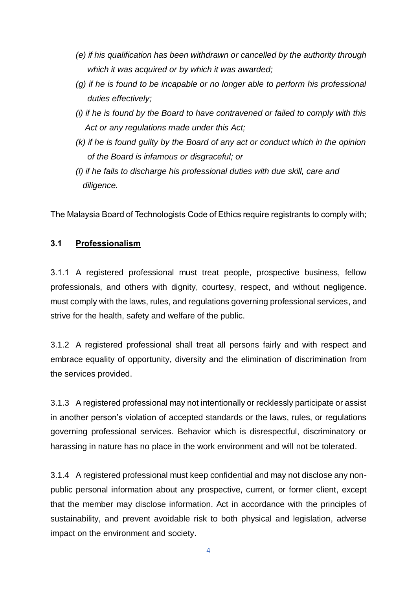- *(e) if his qualification has been withdrawn or cancelled by the authority through which it was acquired or by which it was awarded;*
- *(g) if he is found to be incapable or no longer able to perform his professional duties effectively;*
- *(i) if he is found by the Board to have contravened or failed to comply with this Act or any regulations made under this Act;*
- *(k) if he is found guilty by the Board of any act or conduct which in the opinion of the Board is infamous or disgraceful; or*
- *(l) if he fails to discharge his professional duties with due skill, care and diligence.*

The Malaysia Board of Technologists Code of Ethics require registrants to comply with;

#### **3.1 Professionalism**

3.1.1 A registered professional must treat people, prospective business, fellow professionals, and others with dignity, courtesy, respect, and without negligence. must comply with the laws, rules, and regulations governing professional services, and strive for the health, safety and welfare of the public.

3.1.2 A registered professional shall treat all persons fairly and with respect and embrace equality of opportunity, diversity and the elimination of discrimination from the services provided.

3.1.3 A registered professional may not intentionally or recklessly participate or assist in another person's violation of accepted standards or the laws, rules, or regulations governing professional services. Behavior which is disrespectful, discriminatory or harassing in nature has no place in the work environment and will not be tolerated.

3.1.4 A registered professional must keep confidential and may not disclose any nonpublic personal information about any prospective, current, or former client, except that the member may disclose information. Act in accordance with the principles of sustainability, and prevent avoidable risk to both physical and legislation, adverse impact on the environment and society.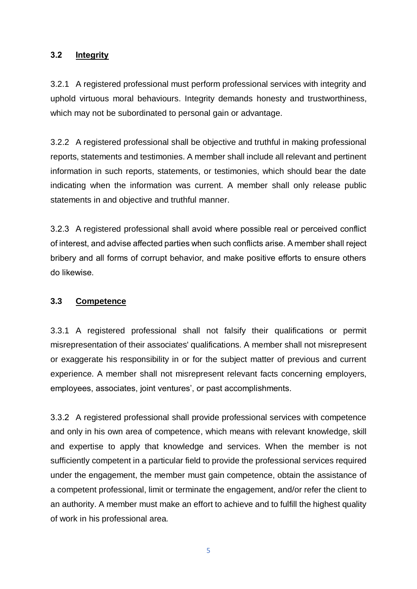#### **3.2 Integrity**

3.2.1 A registered professional must perform professional services with integrity and uphold virtuous moral behaviours. Integrity demands honesty and trustworthiness, which may not be subordinated to personal gain or advantage.

3.2.2 A registered professional shall be objective and truthful in making professional reports, statements and testimonies. A member shall include all relevant and pertinent information in such reports, statements, or testimonies, which should bear the date indicating when the information was current. A member shall only release public statements in and objective and truthful manner.

3.2.3 A registered professional shall avoid where possible real or perceived conflict of interest, and advise affected parties when such conflicts arise. A member shall reject bribery and all forms of corrupt behavior, and make positive efforts to ensure others do likewise.

## **3.3 Competence**

3.3.1 A registered professional shall not falsify their qualifications or permit misrepresentation of their associates' qualifications. A member shall not misrepresent or exaggerate his responsibility in or for the subject matter of previous and current experience. A member shall not misrepresent relevant facts concerning employers, employees, associates, joint ventures', or past accomplishments.

3.3.2 A registered professional shall provide professional services with competence and only in his own area of competence, which means with relevant knowledge, skill and expertise to apply that knowledge and services. When the member is not sufficiently competent in a particular field to provide the professional services required under the engagement, the member must gain competence, obtain the assistance of a competent professional, limit or terminate the engagement, and/or refer the client to an authority. A member must make an effort to achieve and to fulfill the highest quality of work in his professional area*.*

5